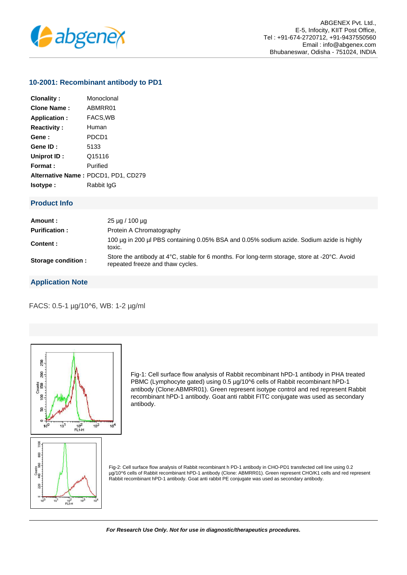

## **10-2001: Recombinant antibody to PD1**

| Clonality:         | Monoclonal                          |
|--------------------|-------------------------------------|
| <b>Clone Name:</b> | ABMRR01                             |
| Application:       | FACS, WB                            |
| <b>Reactivity:</b> | Human                               |
| Gene :             | PDCD1                               |
| Gene ID:           | 5133                                |
| Uniprot ID:        | Q15116                              |
| Format:            | Purified                            |
|                    | Alternative Name: PDCD1, PD1, CD279 |
| lsotype:           | Rabbit IgG                          |

## **Product Info**

| Amount:              | $25 \mu q / 100 \mu q$                                                                                                           |
|----------------------|----------------------------------------------------------------------------------------------------------------------------------|
| <b>Purification:</b> | Protein A Chromatography                                                                                                         |
| Content :            | 100 µg in 200 µl PBS containing 0.05% BSA and 0.05% sodium azide. Sodium azide is highly<br>toxic.                               |
| Storage condition :  | Store the antibody at 4°C, stable for 6 months. For long-term storage, store at -20°C. Avoid<br>repeated freeze and thaw cycles. |

## **Application Note**

FACS: 0.5-1 µg/10^6, WB: 1-2 µg/ml



Fig-1: Cell surface flow analysis of Rabbit recombinant hPD-1 antibody in PHA treated PBMC (Lymphocyte gated) using 0.5 µg/10^6 cells of Rabbit recombinant hPD-1 antibody (Clone:ABMRR01). Green represent isotype control and red represent Rabbit recombinant hPD-1 antibody. Goat anti rabbit FITC conjugate was used as secondary antibody.



**For Research Use Only. Not for use in diagnostic/therapeutics procedures.**